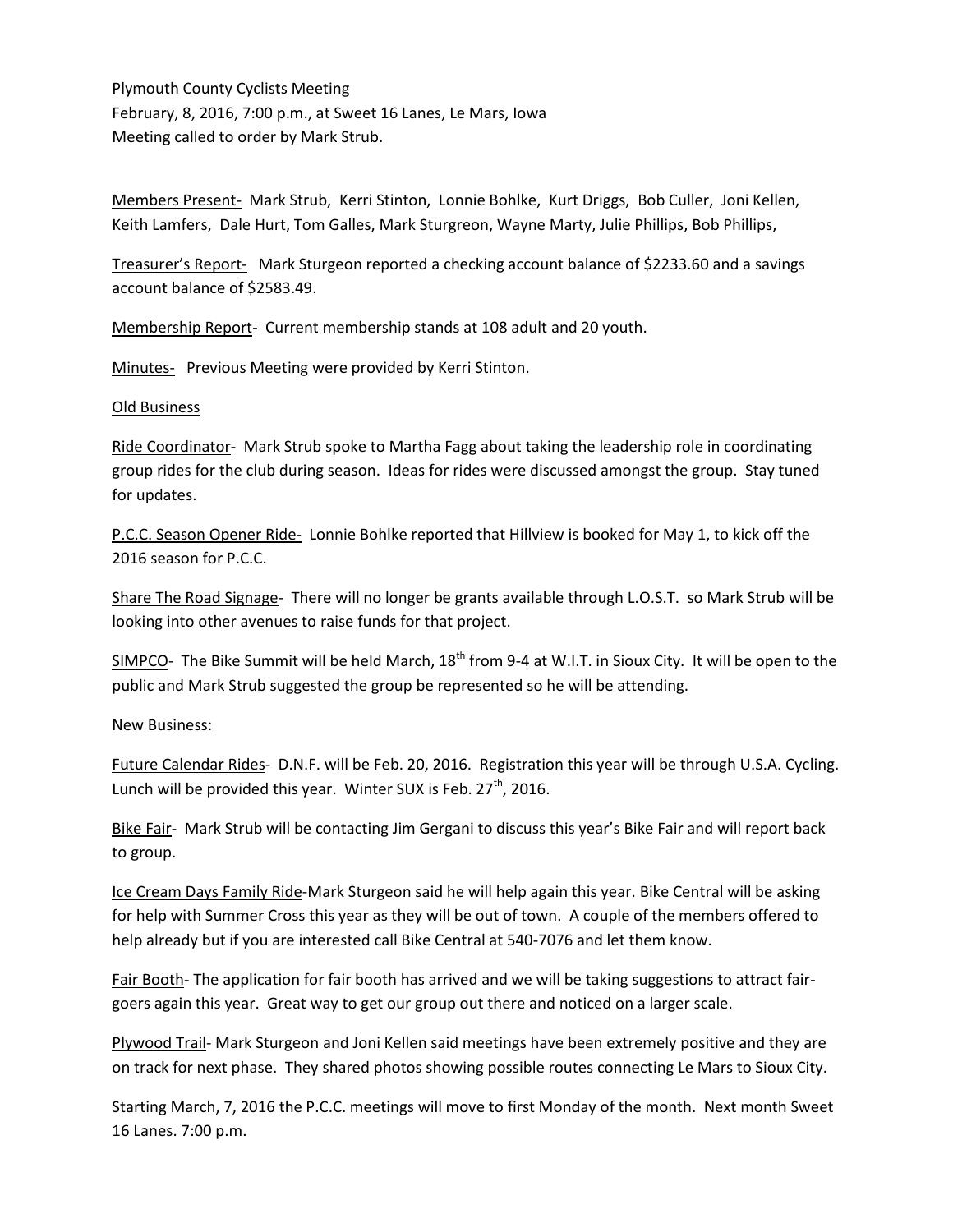Plymouth County Cyclists Meeting February, 8, 2016, 7:00 p.m., at Sweet 16 Lanes, Le Mars, Iowa Meeting called to order by Mark Strub.

Members Present- Mark Strub, Kerri Stinton, Lonnie Bohlke, Kurt Driggs, Bob Culler, Joni Kellen, Keith Lamfers, Dale Hurt, Tom Galles, Mark Sturgreon, Wayne Marty, Julie Phillips, Bob Phillips,

Treasurer's Report- Mark Sturgeon reported a checking account balance of \$2233.60 and a savings account balance of \$2583.49.

Membership Report- Current membership stands at 108 adult and 20 youth.

Minutes- Previous Meeting were provided by Kerri Stinton.

## **Old Business**

Ride Coordinator-Mark Strub spoke to Martha Fagg about taking the leadership role in coordinating group rides for the club during season. Ideas for rides were discussed amongst the group. Stay tuned for updates.

P.C.C. Season Opener Ride- Lonnie Bohlke reported that Hillview is booked for May 1, to kick off the 2016 season for P.C.C.

Share The Road Signage- There will no longer be grants available through L.O.S.T. so Mark Strub will be looking into other avenues to raise funds for that project.

SIMPCO- The Bike Summit will be held March, 18<sup>th</sup> from 9-4 at W.I.T. in Sioux City. It will be open to the public and Mark Strub suggested the group be represented so he will be attending.

New Business:

Future Calendar Rides-D.N.F. will be Feb. 20, 2016. Registration this year will be through U.S.A. Cycling. Lunch will be provided this year. Winter SUX is Feb. 27<sup>th</sup>, 2016.

Bike Fair-Mark Strub will be contacting Jim Gergani to discuss this year's Bike Fair and will report back to group.

Ice Cream Days Family Ride-Mark Sturgeon said he will help again this year. Bike Central will be asking for help with Summer Cross this year as they will be out of town. A couple of the members offered to help already but if you are interested call Bike Central at 540-7076 and let them know.

Fair Booth-The application for fair booth has arrived and we will be taking suggestions to attract fairgoers again this year. Great way to get our group out there and noticed on a larger scale.

Plywood Trail- Mark Sturgeon and Joni Kellen said meetings have been extremely positive and they are on track for next phase. They shared photos showing possible routes connecting Le Mars to Sioux City.

Starting March, 7, 2016 the P.C.C. meetings will move to first Monday of the month. Next month Sweet 16 Lanes. 7:00 p.m.